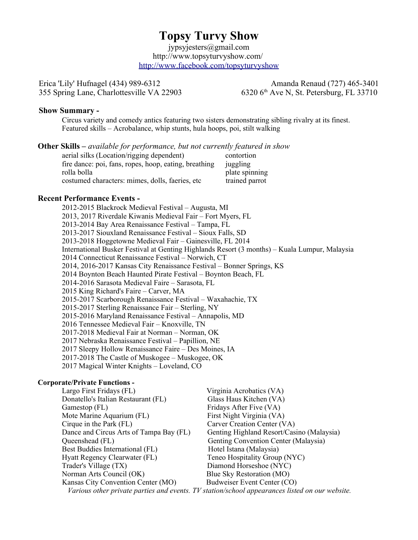# **Topsy Turvy Show**

 jypsyjesters@gmail.com http://www.topsyturvyshow.com/ <http://www.facebook.com/topsyturvyshow>

Erica 'Lily' Hufnagel (434) 989-6312 Amanda Renaud (727) 465-3401

355 Spring Lane, Charlottesville VA 22903 6320 6<sup>th</sup> Ave N, St. Petersburg, FL 33710

### **Show Summary -**

Circus variety and comedy antics featuring two sisters demonstrating sibling rivalry at its finest. Featured skills – Acrobalance, whip stunts, hula hoops, poi, stilt walking

### **Other Skills –** *available for performance, but not currently featured in show*

| aerial silks (Location/rigging dependent)             | contortion     |
|-------------------------------------------------------|----------------|
| fire dance: poi, fans, ropes, hoop, eating, breathing | juggling       |
| rolla bolla                                           | plate spinning |
| costumed characters: mimes, dolls, faeries, etc.      | trained parrot |

# **Recent Performance Events -**

2012-2015 Blackrock Medieval Festival – Augusta, MI 2013, 2017 Riverdale Kiwanis Medieval Fair – Fort Myers, FL 2013-2014 Bay Area Renaissance Festival – Tampa, FL 2013-2017 Siouxland Renaissance Festival – Sioux Falls, SD 2013-2018 Hoggetowne Medieval Fair – Gainesville, FL 2014 International Busker Festival at Genting Highlands Resort (3 months) – Kuala Lumpur, Malaysia 2014 Connecticut Renaissance Festival – Norwich, CT 2014, 2016-2017 Kansas City Renaissance Festival – Bonner Springs, KS 2014 Boynton Beach Haunted Pirate Festival – Boynton Beach, FL 2014-2016 Sarasota Medieval Faire – Sarasota, FL 2015 King Richard's Faire – Carver, MA 2015-2017 Scarborough Renaissance Festival – Waxahachie, TX 2015-2017 Sterling Renaissance Fair – Sterling, NY 2015-2016 Maryland Renaissance Festival – Annapolis, MD 2016 Tennessee Medieval Fair – Knoxville, TN 2017-2018 Medieval Fair at Norman – Norman, OK 2017 Nebraska Renaissance Festival – Papillion, NE 2017 Sleepy Hollow Renaissance Faire – Des Moines, IA 2017-2018 The Castle of Muskogee – Muskogee, OK 2017 Magical Winter Knights – Loveland, CO

#### **Corporate/Private Functions -**

| Largo First Fridays (FL)                                                                       | Virginia Acrobatics (VA)                  |
|------------------------------------------------------------------------------------------------|-------------------------------------------|
| Donatello's Italian Restaurant (FL)                                                            | Glass Haus Kitchen (VA)                   |
| Gamestop (FL)                                                                                  | Fridays After Five (VA)                   |
| Mote Marine Aquarium (FL)                                                                      | First Night Virginia (VA)                 |
| Cirque in the Park (FL)                                                                        | Carver Creation Center (VA)               |
| Dance and Circus Arts of Tampa Bay (FL)                                                        | Genting Highland Resort/Casino (Malaysia) |
| Queenshead (FL)                                                                                | Genting Convention Center (Malaysia)      |
| Best Buddies International (FL)                                                                | Hotel Istana (Malaysia)                   |
| Hyatt Regency Clearwater (FL)                                                                  | Teneo Hospitality Group (NYC)             |
| Trader's Village (TX)                                                                          | Diamond Horseshoe (NYC)                   |
| Norman Arts Council (OK)                                                                       | Blue Sky Restoration (MO)                 |
| Kansas City Convention Center (MO)                                                             | Budweiser Event Center (CO)               |
| Various other private parties and events. TV station/school appearances listed on our website. |                                           |